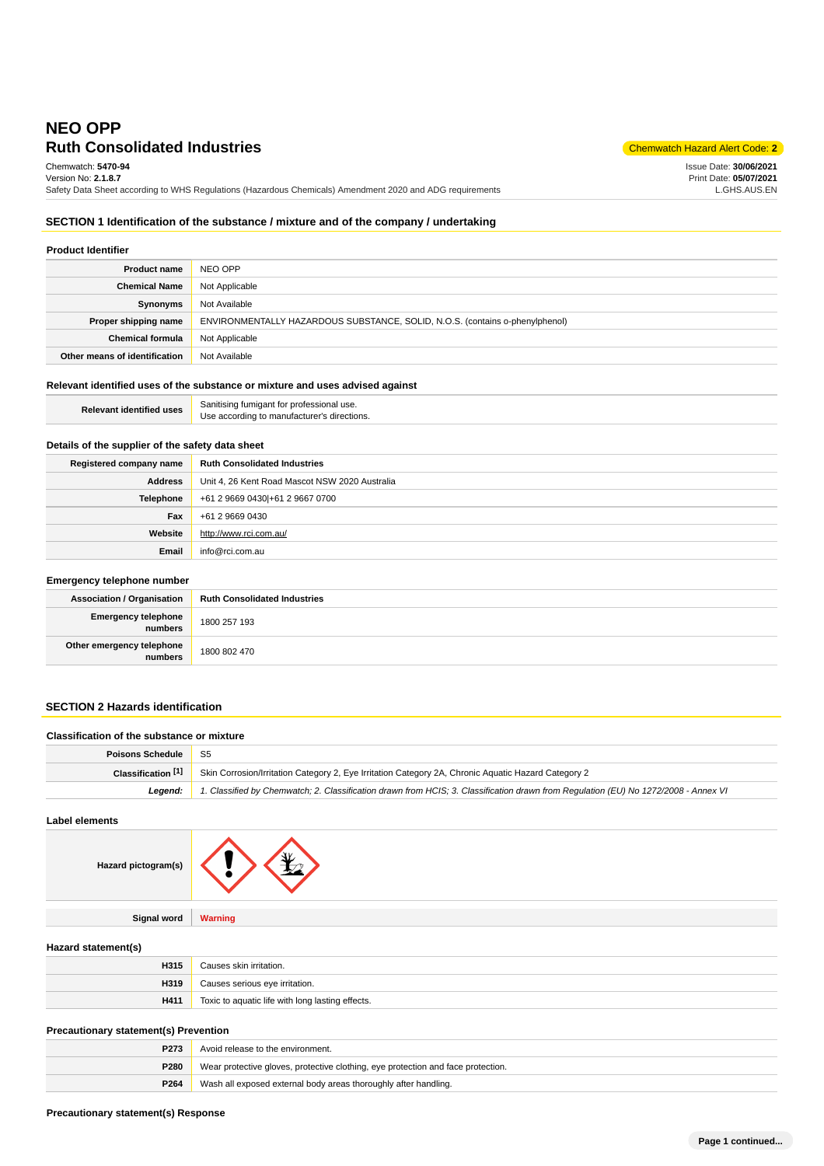# **Ruth Consolidated Industries** Chemwatch Hazard Alert Code: 2 **NEO OPP** Chemwatch: **5470-94**

Issue Date: **30/06/2021** Print Date: **05/07/2021** L.GHS.AUS.EN

Version No: **2.1.8.7** Safety Data Sheet according to WHS Regulations (Hazardous Chemicals) Amendment 2020 and ADG requirements

# **SECTION 1 Identification of the substance / mixture and of the company / undertaking**

| <b>Product Identifier</b>     |                                                                              |  |
|-------------------------------|------------------------------------------------------------------------------|--|
| <b>Product name</b>           | NEO OPP                                                                      |  |
| <b>Chemical Name</b>          | Not Applicable                                                               |  |
| Synonyms                      | Not Available                                                                |  |
| Proper shipping name          | ENVIRONMENTALLY HAZARDOUS SUBSTANCE, SOLID, N.O.S. (contains o-phenylphenol) |  |
| <b>Chemical formula</b>       | Not Applicable                                                               |  |
| Other means of identification | Not Available                                                                |  |

# **Relevant identified uses of the substance or mixture and uses advised against**

| <b>Relevant identified uses</b> | Sanitising fumigant for professional use.<br>Use according to manufacturer's directions. |
|---------------------------------|------------------------------------------------------------------------------------------|

# **Details of the supplier of the safety data sheet**

| Registered company name | <b>Ruth Consolidated Industries</b>            |
|-------------------------|------------------------------------------------|
| <b>Address</b>          | Unit 4, 26 Kent Road Mascot NSW 2020 Australia |
| <b>Telephone</b>        | +61 2 9669 0430 + 61 2 9667 0700               |
| Fax                     | +61 2 9669 0430                                |
| Website                 | http://www.rci.com.au/                         |
| Email                   | info@rci.com.au                                |

## **Emergency telephone number**

| . .                                  |                                     |  |
|--------------------------------------|-------------------------------------|--|
| <b>Association / Organisation</b>    | <b>Ruth Consolidated Industries</b> |  |
| Emergency telephone<br>numbers       | 1800 257 193                        |  |
| Other emergency telephone<br>numbers | 1800 802 470                        |  |

# **SECTION 2 Hazards identification**

# **Classification of the substance or mixture Poisons Schedule** S5

| Classification $[1]$ | Skin Corrosion/Irritation Category 2, Eye Irritation Category 2A, Chronic Aquatic Hazard Category 2                                         |  |
|----------------------|---------------------------------------------------------------------------------------------------------------------------------------------|--|
|                      | Legend: 1. Classified by Chemwatch; 2. Classification drawn from HCIS; 3. Classification drawn from Regulation (EU) No 1272/2008 - Annex VI |  |
|                      |                                                                                                                                             |  |

**Label elements**

| Hazard pictogram(s) |  |
|---------------------|--|
|                     |  |

**Hazard statement(s)**

| H315 | Causes skin irritation.                          |
|------|--------------------------------------------------|
| H319 | Causes serious eye irritation.                   |
| H411 | Toxic to aquatic life with long lasting effects. |

# **Precautionary statement(s) Prevention**

| P273             | Avoid release to the environment.                                                |  |
|------------------|----------------------------------------------------------------------------------|--|
| P280             | Wear protective gloves, protective clothing, eye protection and face protection. |  |
| P <sub>264</sub> | Wash all exposed external body areas thoroughly after handling.                  |  |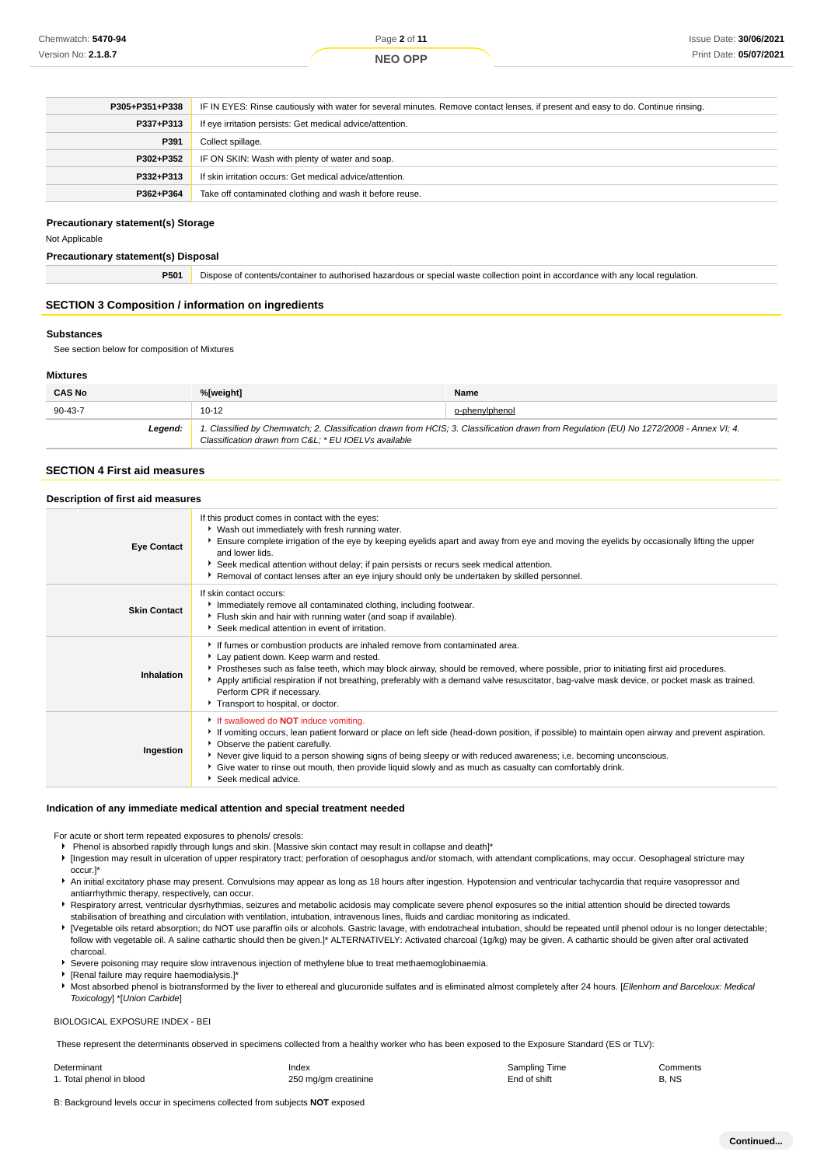## **NEO OPP**

| P305+P351+P338 | IF IN EYES: Rinse cautiously with water for several minutes. Remove contact lenses, if present and easy to do. Continue rinsing. |  |
|----------------|----------------------------------------------------------------------------------------------------------------------------------|--|
| P337+P313      | If eye irritation persists: Get medical advice/attention.                                                                        |  |
| P391           | Collect spillage.                                                                                                                |  |
| P302+P352      | IF ON SKIN: Wash with plenty of water and soap.                                                                                  |  |
| P332+P313      | If skin irritation occurs: Get medical advice/attention.                                                                         |  |
| P362+P364      | Take off contaminated clothing and wash it before reuse.                                                                         |  |

#### **Precautionary statement(s) Storage**

Not Applicable

#### **Precautionary statement(s) Disposal**

**P501** Dispose of contents/container to authorised hazardous or special waste collection point in accordance with any local regulation.

#### **SECTION 3 Composition / information on ingredients**

#### **Substances**

See section below for composition of Mixtures

#### **Mixtures**

| <b>CAS No</b> | %[weight]                                                                                                                                                                                      | Name           |
|---------------|------------------------------------------------------------------------------------------------------------------------------------------------------------------------------------------------|----------------|
| $90 - 43 - 7$ | $10 - 12$                                                                                                                                                                                      | o-phenylphenol |
| Leaend:       | 1. Classified by Chemwatch; 2. Classification drawn from HCIS; 3. Classification drawn from Regulation (EU) No 1272/2008 - Annex VI; 4.<br>Classification drawn from C&L * EU IOELVs available |                |

## **SECTION 4 First aid measures**

#### **Description of first aid measures**

| <b>Eye Contact</b>  | If this product comes in contact with the eyes:<br>• Wash out immediately with fresh running water.<br>Ensure complete irrigation of the eye by keeping eyelids apart and away from eye and moving the eyelids by occasionally lifting the upper<br>and lower lids.<br>Seek medical attention without delay; if pain persists or recurs seek medical attention.<br>Removal of contact lenses after an eye injury should only be undertaken by skilled personnel.                                 |
|---------------------|--------------------------------------------------------------------------------------------------------------------------------------------------------------------------------------------------------------------------------------------------------------------------------------------------------------------------------------------------------------------------------------------------------------------------------------------------------------------------------------------------|
| <b>Skin Contact</b> | If skin contact occurs:<br>Immediately remove all contaminated clothing, including footwear.<br>Flush skin and hair with running water (and soap if available).<br>Seek medical attention in event of irritation.                                                                                                                                                                                                                                                                                |
| Inhalation          | If fumes or combustion products are inhaled remove from contaminated area.<br>Lay patient down. Keep warm and rested.<br>Prostheses such as false teeth, which may block airway, should be removed, where possible, prior to initiating first aid procedures.<br>Apply artificial respiration if not breathing, preferably with a demand valve resuscitator, bag-valve mask device, or pocket mask as trained.<br>Perform CPR if necessary.<br>Transport to hospital, or doctor.                 |
| Ingestion           | If swallowed do <b>NOT</b> induce vomiting.<br>► If vomiting occurs, lean patient forward or place on left side (head-down position, if possible) to maintain open airway and prevent aspiration.<br>• Observe the patient carefully.<br>▶ Never give liquid to a person showing signs of being sleepy or with reduced awareness; i.e. becoming unconscious.<br>Give water to rinse out mouth, then provide liquid slowly and as much as casualty can comfortably drink.<br>Seek medical advice. |

#### **Indication of any immediate medical attention and special treatment needed**

For acute or short term repeated exposures to phenols/ cresols:

- Phenol is absorbed rapidly through lungs and skin. [Massive skin contact may result in collapse and death]\*
- [Ingestion may result in ulceration of upper respiratory tract; perforation of oesophagus and/or stomach, with attendant complications, may occur. Oesophageal stricture may occur.]\*
- An initial excitatory phase may present. Convulsions may appear as long as 18 hours after ingestion. Hypotension and ventricular tachycardia that require vasopressor and antiarrhythmic therapy, respectively, can occur.
- **F** Respiratory arrest, ventricular dysrhythmias, seizures and metabolic acidosis may complicate severe phenol exposures so the initial attention should be directed towards stabilisation of breathing and circulation with ventilation, intubation, intravenous lines, fluids and cardiac monitoring as indicated.
- [Vegetable oils retard absorption; do NOT use paraffin oils or alcohols. Gastric lavage, with endotracheal intubation, should be repeated until phenol odour is no longer detectable; follow with vegetable oil. A saline cathartic should then be given.]\* ALTERNATIVELY: Activated charcoal (1g/kg) may be given. A cathartic should be given after oral activated charcoal.
- Severe poisoning may require slow intravenous injection of methylene blue to treat methaemoglobinaemia.
- [Renal failure may require haemodialysis.]\*
- Most absorbed phenol is biotransformed by the liver to ethereal and glucuronide sulfates and is eliminated almost completely after 24 hours. [Ellenhorn and Barceloux: Medical k, Toxicology] \*[Union Carbide]

#### BIOLOGICAL EXPOSURE INDEX - BEI

These represent the determinants observed in specimens collected from a healthy worker who has been exposed to the Exposure Standard (ES or TLV):

Determinant **Index Comments** Comments **Index Comments Comments Comments Comments** 1. Total phenol in blood **250** mg/gm creatinine **250 mg/gm creatinine** End of shift B, NS

B: Background levels occur in specimens collected from subjects **NOT** exposed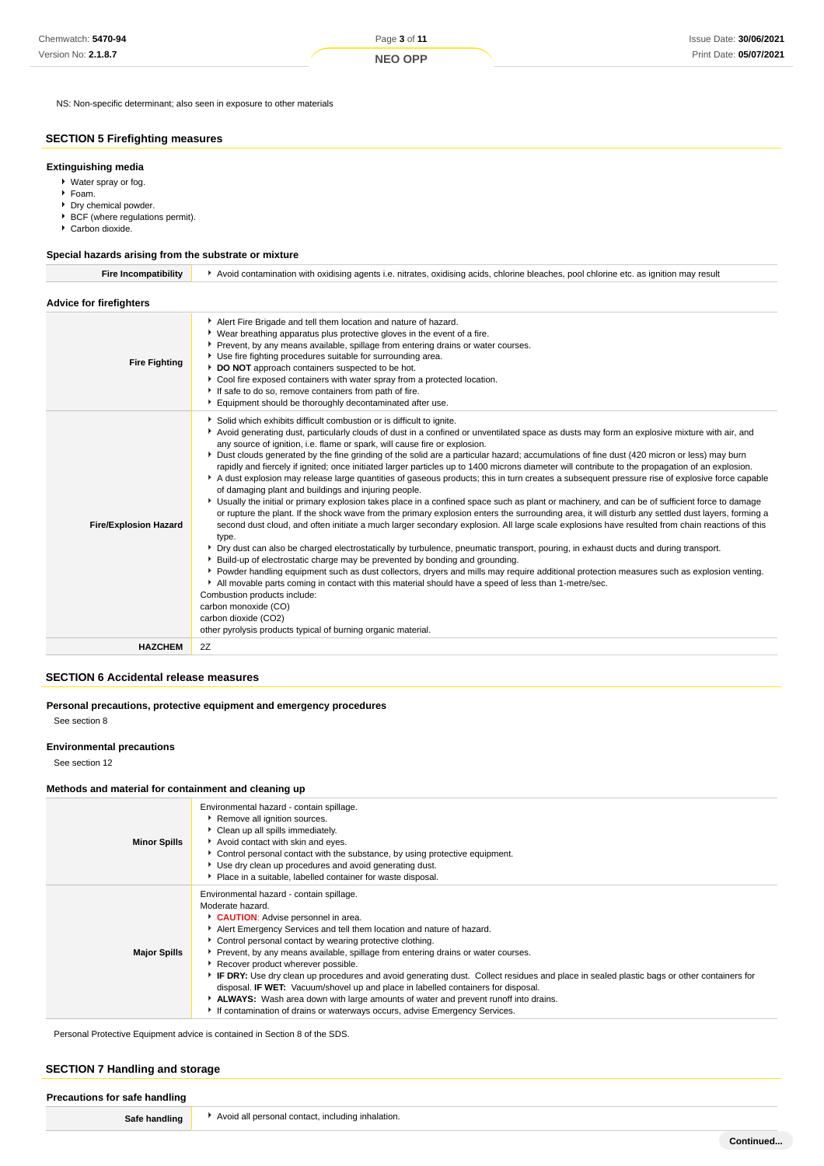# **NEO OPP**

NS: Non-specific determinant; also seen in exposure to other materials

# **SECTION 5 Firefighting measures**

## **Extinguishing media**

- Water spray or fog.
- Foam.
- Dry chemical powder.
- **BCF** (where regulations permit).
- Carbon dioxide.

## **Special hazards arising from the substrate or mixture**

| <b>Fire Incompatibility</b>    | Avoid contamination with oxidising agents i.e. nitrates, oxidising acids, chlorine bleaches, pool chlorine etc. as ignition may result                                                                                                                                                                                                                                                                                                                                                                                                                                                                                                                                                                                                                                                                                                                                                                                                                                                                                                                                                                                                                                                                                                                                                                                                                                                                                                                                                                                                                                                                                                                                                                                                                                                                                                                                                                             |  |  |
|--------------------------------|--------------------------------------------------------------------------------------------------------------------------------------------------------------------------------------------------------------------------------------------------------------------------------------------------------------------------------------------------------------------------------------------------------------------------------------------------------------------------------------------------------------------------------------------------------------------------------------------------------------------------------------------------------------------------------------------------------------------------------------------------------------------------------------------------------------------------------------------------------------------------------------------------------------------------------------------------------------------------------------------------------------------------------------------------------------------------------------------------------------------------------------------------------------------------------------------------------------------------------------------------------------------------------------------------------------------------------------------------------------------------------------------------------------------------------------------------------------------------------------------------------------------------------------------------------------------------------------------------------------------------------------------------------------------------------------------------------------------------------------------------------------------------------------------------------------------------------------------------------------------------------------------------------------------|--|--|
| <b>Advice for firefighters</b> |                                                                                                                                                                                                                                                                                                                                                                                                                                                                                                                                                                                                                                                                                                                                                                                                                                                                                                                                                                                                                                                                                                                                                                                                                                                                                                                                                                                                                                                                                                                                                                                                                                                                                                                                                                                                                                                                                                                    |  |  |
| <b>Fire Fighting</b>           | Alert Fire Brigade and tell them location and nature of hazard.<br>• Wear breathing apparatus plus protective gloves in the event of a fire.<br>Prevent, by any means available, spillage from entering drains or water courses.<br>Use fire fighting procedures suitable for surrounding area.<br>DO NOT approach containers suspected to be hot.<br>Cool fire exposed containers with water spray from a protected location.<br>If safe to do so, remove containers from path of fire.<br>Equipment should be thoroughly decontaminated after use.                                                                                                                                                                                                                                                                                                                                                                                                                                                                                                                                                                                                                                                                                                                                                                                                                                                                                                                                                                                                                                                                                                                                                                                                                                                                                                                                                               |  |  |
| <b>Fire/Explosion Hazard</b>   | Solid which exhibits difficult combustion or is difficult to ignite.<br>Avoid generating dust, particularly clouds of dust in a confined or unventilated space as dusts may form an explosive mixture with air, and<br>any source of ignition, i.e. flame or spark, will cause fire or explosion.<br>> Dust clouds generated by the fine grinding of the solid are a particular hazard; accumulations of fine dust (420 micron or less) may burn<br>rapidly and fiercely if ignited; once initiated larger particles up to 1400 microns diameter will contribute to the propagation of an explosion.<br>A dust explosion may release large quantities of gaseous products; this in turn creates a subsequent pressure rise of explosive force capable<br>of damaging plant and buildings and injuring people.<br>> Usually the initial or primary explosion takes place in a confined space such as plant or machinery, and can be of sufficient force to damage<br>or rupture the plant. If the shock wave from the primary explosion enters the surrounding area, it will disturb any settled dust layers, forming a<br>second dust cloud, and often initiate a much larger secondary explosion. All large scale explosions have resulted from chain reactions of this<br>type.<br>▶ Dry dust can also be charged electrostatically by turbulence, pneumatic transport, pouring, in exhaust ducts and during transport.<br>▶ Build-up of electrostatic charge may be prevented by bonding and grounding.<br>▶ Powder handling equipment such as dust collectors, dryers and mills may require additional protection measures such as explosion venting.<br>All movable parts coming in contact with this material should have a speed of less than 1-metre/sec.<br>Combustion products include:<br>carbon monoxide (CO)<br>carbon dioxide (CO2)<br>other pyrolysis products typical of burning organic material. |  |  |
| <b>HAZCHEM</b>                 | 2Z                                                                                                                                                                                                                                                                                                                                                                                                                                                                                                                                                                                                                                                                                                                                                                                                                                                                                                                                                                                                                                                                                                                                                                                                                                                                                                                                                                                                                                                                                                                                                                                                                                                                                                                                                                                                                                                                                                                 |  |  |
|                                |                                                                                                                                                                                                                                                                                                                                                                                                                                                                                                                                                                                                                                                                                                                                                                                                                                                                                                                                                                                                                                                                                                                                                                                                                                                                                                                                                                                                                                                                                                                                                                                                                                                                                                                                                                                                                                                                                                                    |  |  |

# **SECTION 6 Accidental release measures**

**Personal precautions, protective equipment and emergency procedures**

See section 8

## **Environmental precautions**

See section 12

#### **Methods and material for containment and cleaning up**

| <b>Minor Spills</b> | Environmental hazard - contain spillage.<br>Remove all ignition sources.<br>Clean up all spills immediately.<br>Avoid contact with skin and eyes.<br>Control personal contact with the substance, by using protective equipment.<br>▶ Use dry clean up procedures and avoid generating dust.<br>Place in a suitable, labelled container for waste disposal.                                                                                                                                                                                                                                                                                                                                                                                                                          |
|---------------------|--------------------------------------------------------------------------------------------------------------------------------------------------------------------------------------------------------------------------------------------------------------------------------------------------------------------------------------------------------------------------------------------------------------------------------------------------------------------------------------------------------------------------------------------------------------------------------------------------------------------------------------------------------------------------------------------------------------------------------------------------------------------------------------|
| <b>Major Spills</b> | Environmental hazard - contain spillage.<br>Moderate hazard.<br><b>CAUTION:</b> Advise personnel in area.<br>Alert Emergency Services and tell them location and nature of hazard.<br>• Control personal contact by wearing protective clothing.<br>▶ Prevent, by any means available, spillage from entering drains or water courses.<br>Recover product wherever possible.<br>FIF DRY: Use dry clean up procedures and avoid generating dust. Collect residues and place in sealed plastic bags or other containers for<br>disposal. IF WET: Vacuum/shovel up and place in labelled containers for disposal.<br>▶ ALWAYS: Wash area down with large amounts of water and prevent runoff into drains.<br>If contamination of drains or waterways occurs, advise Emergency Services. |

Personal Protective Equipment advice is contained in Section 8 of the SDS.

## **SECTION 7 Handling and storage**

| Precautions for safe handling |                                                   |
|-------------------------------|---------------------------------------------------|
| Safe handling                 | Avoid all personal contact, including inhalation. |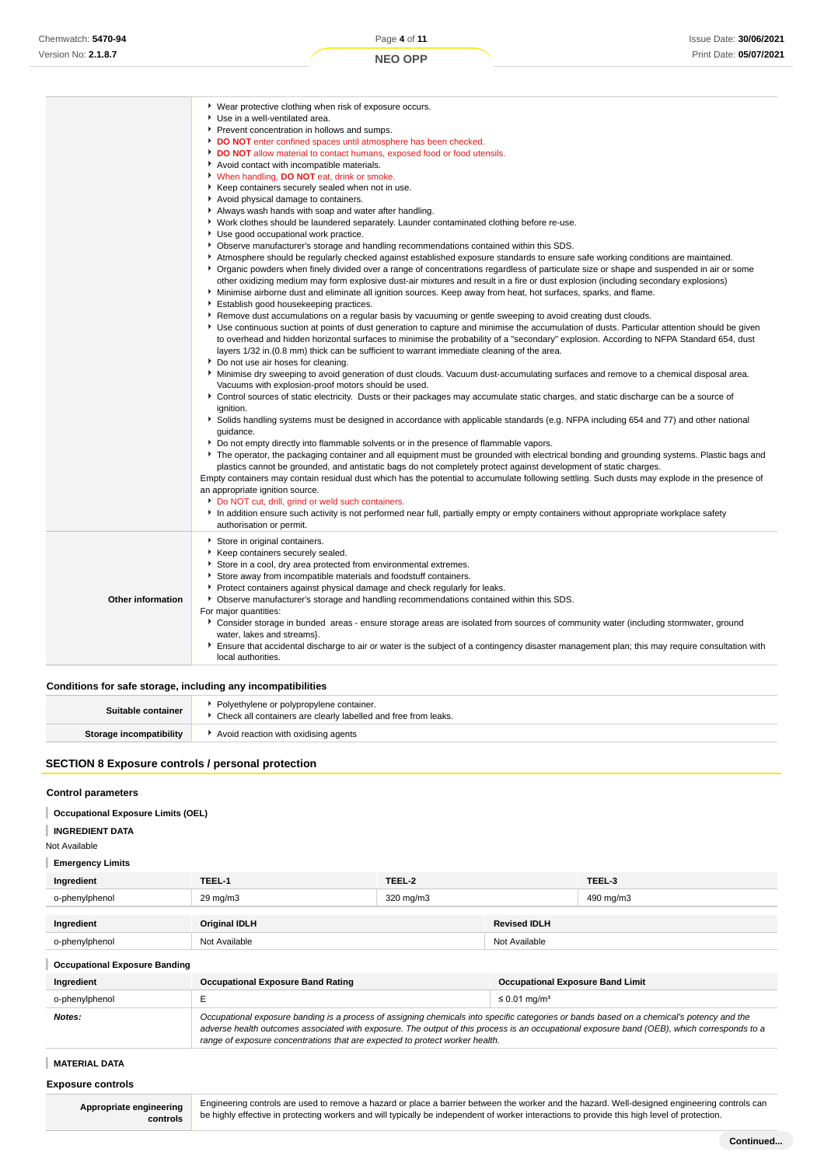|                          | ▶ Wear protective clothing when risk of exposure occurs.<br>Use in a well-ventilated area.<br>Prevent concentration in hollows and sumps.<br>DO NOT enter confined spaces until atmosphere has been checked.<br>DO NOT allow material to contact humans, exposed food or food utensils.                                                                                                                                                                                                                                                                                                                         |
|--------------------------|-----------------------------------------------------------------------------------------------------------------------------------------------------------------------------------------------------------------------------------------------------------------------------------------------------------------------------------------------------------------------------------------------------------------------------------------------------------------------------------------------------------------------------------------------------------------------------------------------------------------|
|                          | Avoid contact with incompatible materials.<br>V When handling, DO NOT eat, drink or smoke.<br>▶ Keep containers securely sealed when not in use.<br>Avoid physical damage to containers.<br>Always wash hands with soap and water after handling.                                                                                                                                                                                                                                                                                                                                                               |
|                          | ▶ Work clothes should be laundered separately. Launder contaminated clothing before re-use.<br>Use good occupational work practice.<br>▶ Observe manufacturer's storage and handling recommendations contained within this SDS.<br>Atmosphere should be regularly checked against established exposure standards to ensure safe working conditions are maintained.                                                                                                                                                                                                                                              |
|                          | ▶ Organic powders when finely divided over a range of concentrations regardless of particulate size or shape and suspended in air or some<br>other oxidizing medium may form explosive dust-air mixtures and result in a fire or dust explosion (including secondary explosions)<br>Minimise airborne dust and eliminate all ignition sources. Keep away from heat, hot surfaces, sparks, and flame.<br>Establish good housekeeping practices.<br>▶ Remove dust accumulations on a regular basis by vacuuming or gentle sweeping to avoid creating dust clouds.                                                 |
|                          | • Use continuous suction at points of dust generation to capture and minimise the accumulation of dusts. Particular attention should be given<br>to overhead and hidden horizontal surfaces to minimise the probability of a "secondary" explosion. According to NFPA Standard 654, dust<br>layers 1/32 in. (0.8 mm) thick can be sufficient to warrant immediate cleaning of the area.<br>Do not use air hoses for cleaning.                                                                                                                                                                                   |
|                          | ▶ Minimise dry sweeping to avoid generation of dust clouds. Vacuum dust-accumulating surfaces and remove to a chemical disposal area.<br>Vacuums with explosion-proof motors should be used.<br>Control sources of static electricity. Dusts or their packages may accumulate static charges, and static discharge can be a source of<br>ignition.<br>Solids handling systems must be designed in accordance with applicable standards (e.g. NFPA including 654 and 77) and other national                                                                                                                      |
|                          | quidance.<br>▶ Do not empty directly into flammable solvents or in the presence of flammable vapors.<br>The operator, the packaging container and all equipment must be grounded with electrical bonding and grounding systems. Plastic bags and<br>plastics cannot be grounded, and antistatic bags do not completely protect against development of static charges.<br>Empty containers may contain residual dust which has the potential to accumulate following settling. Such dusts may explode in the presence of<br>an appropriate ignition source.<br>Do NOT cut, drill, grind or weld such containers. |
|                          | In addition ensure such activity is not performed near full, partially empty or empty containers without appropriate workplace safety<br>authorisation or permit.                                                                                                                                                                                                                                                                                                                                                                                                                                               |
| <b>Other information</b> | Store in original containers.<br>Keep containers securely sealed.<br>Store in a cool, dry area protected from environmental extremes.<br>Store away from incompatible materials and foodstuff containers.<br>Protect containers against physical damage and check regularly for leaks.<br>• Observe manufacturer's storage and handling recommendations contained within this SDS.                                                                                                                                                                                                                              |
|                          | For major quantities:<br>Consider storage in bunded areas - ensure storage areas are isolated from sources of community water (including stormwater, ground<br>water, lakes and streams}.<br>Ensure that accidental discharge to air or water is the subject of a contingency disaster management plan; this may require consultation with<br>local authorities.                                                                                                                                                                                                                                                |

**Conditions for safe storage, including any incompatibilities**

| Suitable container      | Polyethylene or polypropylene container.<br>• Check all containers are clearly labelled and free from leaks. |
|-------------------------|--------------------------------------------------------------------------------------------------------------|
| Storage incompatibility | Avoid reaction with oxidising agents                                                                         |
|                         |                                                                                                              |

# **SECTION 8 Exposure controls / personal protection**

#### **Control parameters**

| <b>Occupational Exposure Limits (OEL)</b> |  |  |
|-------------------------------------------|--|--|
|                                           |  |  |

# **INGREDIENT DATA**

Not Available

## **Emergency Limits**

| Ingredient     | TEEL-1            | TEEL-2    |                     | TEEL-3    |
|----------------|-------------------|-----------|---------------------|-----------|
| o-phenylphenol | $29 \text{ mg/m}$ | 320 mg/m3 |                     | 490 mg/m3 |
| Ingredient     | Original IDLH     |           | <b>Revised IDLH</b> |           |
| o-phenylphenol | Not Available     |           | Not Available       |           |

## **Occupational Exposure Banding**

| Ingredient     | <b>Occupational Exposure Band Rating</b>                                                                                                                                                                                                                                                                                                                                 | <b>Occupational Exposure Band Limit</b> |  |
|----------------|--------------------------------------------------------------------------------------------------------------------------------------------------------------------------------------------------------------------------------------------------------------------------------------------------------------------------------------------------------------------------|-----------------------------------------|--|
| o-phenylphenol |                                                                                                                                                                                                                                                                                                                                                                          | $\leq 0.01$ mg/m <sup>3</sup>           |  |
| Notes:         | Occupational exposure banding is a process of assigning chemicals into specific categories or bands based on a chemical's potency and the<br>adverse health outcomes associated with exposure. The output of this process is an occupational exposure band (OEB), which corresponds to a<br>range of exposure concentrations that are expected to protect worker health. |                                         |  |

# **MATERIAL DATA**

## **Exposure controls**

**Appropriate engineering controls**

Engineering controls are used to remove a hazard or place a barrier between the worker and the hazard. Well-designed engineering controls can be highly effective in protecting workers and will typically be independent of worker interactions to provide this high level of protection.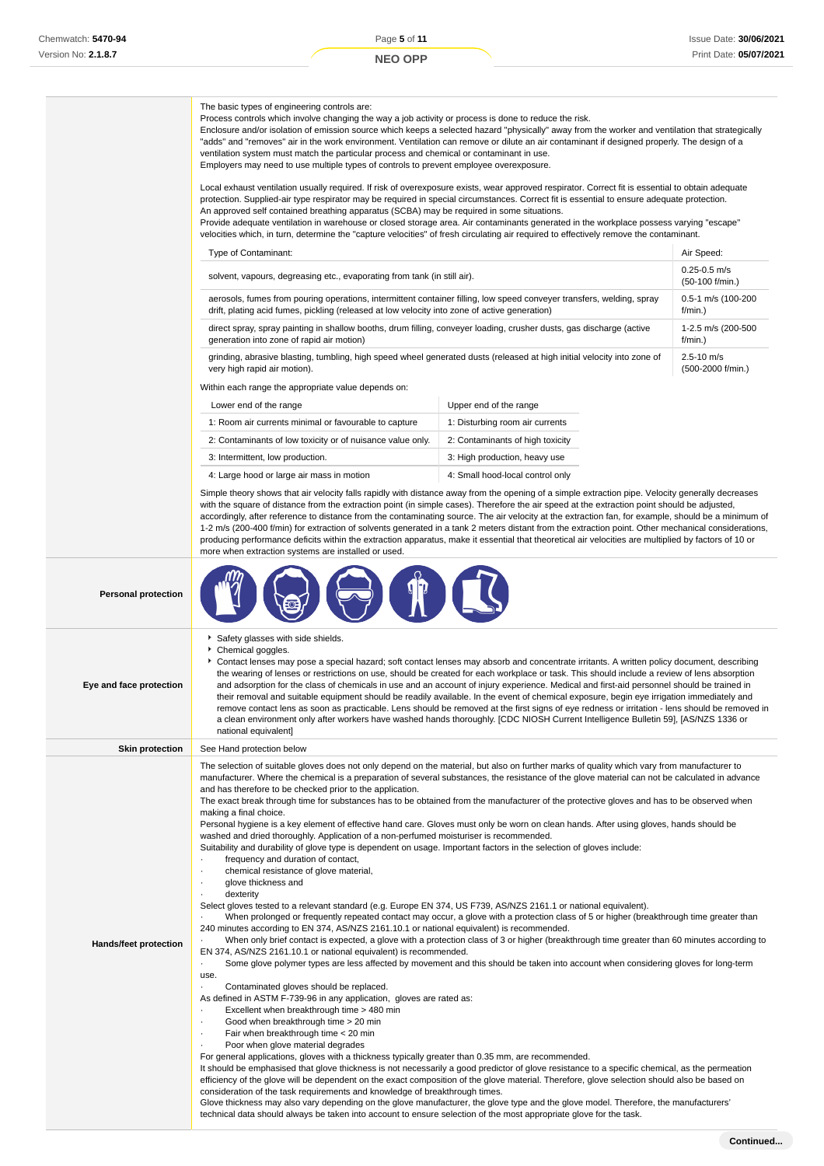Process controls which involve changing the way a job activity or process is done to reduce the risk.

The basic types of engineering controls are:

|                              | Enclosure and/or isolation of emission source which keeps a selected hazard "physically" away from the worker and ventilation that strategically<br>"adds" and "removes" air in the work environment. Ventilation can remove or dilute an air contaminant if designed properly. The design of a<br>ventilation system must match the particular process and chemical or contaminant in use.<br>Employers may need to use multiple types of controls to prevent employee overexposure.                                                                                                                                                                                                                                                                                                                                                                                                                                                                                                                                                                                                                                                                                                                                                                                                                                                                                                                                                                                                                                                                                                                                                                                                                                                                                                                                                                                                                                                                                                                                                                                                                                                                                                                                                                                                                                                                      |                                                                                                                                                                                                                                                                                                                                                                                                                                                                                                                                                                                                                                                                                                                                                                                                                                                                             |                                     |
|------------------------------|------------------------------------------------------------------------------------------------------------------------------------------------------------------------------------------------------------------------------------------------------------------------------------------------------------------------------------------------------------------------------------------------------------------------------------------------------------------------------------------------------------------------------------------------------------------------------------------------------------------------------------------------------------------------------------------------------------------------------------------------------------------------------------------------------------------------------------------------------------------------------------------------------------------------------------------------------------------------------------------------------------------------------------------------------------------------------------------------------------------------------------------------------------------------------------------------------------------------------------------------------------------------------------------------------------------------------------------------------------------------------------------------------------------------------------------------------------------------------------------------------------------------------------------------------------------------------------------------------------------------------------------------------------------------------------------------------------------------------------------------------------------------------------------------------------------------------------------------------------------------------------------------------------------------------------------------------------------------------------------------------------------------------------------------------------------------------------------------------------------------------------------------------------------------------------------------------------------------------------------------------------------------------------------------------------------------------------------------------------|-----------------------------------------------------------------------------------------------------------------------------------------------------------------------------------------------------------------------------------------------------------------------------------------------------------------------------------------------------------------------------------------------------------------------------------------------------------------------------------------------------------------------------------------------------------------------------------------------------------------------------------------------------------------------------------------------------------------------------------------------------------------------------------------------------------------------------------------------------------------------------|-------------------------------------|
|                              | Local exhaust ventilation usually required. If risk of overexposure exists, wear approved respirator. Correct fit is essential to obtain adequate<br>protection. Supplied-air type respirator may be required in special circumstances. Correct fit is essential to ensure adequate protection.<br>An approved self contained breathing apparatus (SCBA) may be required in some situations.<br>Provide adequate ventilation in warehouse or closed storage area. Air contaminants generated in the workplace possess varying "escape"<br>velocities which, in turn, determine the "capture velocities" of fresh circulating air required to effectively remove the contaminant.                                                                                                                                                                                                                                                                                                                                                                                                                                                                                                                                                                                                                                                                                                                                                                                                                                                                                                                                                                                                                                                                                                                                                                                                                                                                                                                                                                                                                                                                                                                                                                                                                                                                           |                                                                                                                                                                                                                                                                                                                                                                                                                                                                                                                                                                                                                                                                                                                                                                                                                                                                             |                                     |
|                              | Air Speed:<br>Type of Contaminant:                                                                                                                                                                                                                                                                                                                                                                                                                                                                                                                                                                                                                                                                                                                                                                                                                                                                                                                                                                                                                                                                                                                                                                                                                                                                                                                                                                                                                                                                                                                                                                                                                                                                                                                                                                                                                                                                                                                                                                                                                                                                                                                                                                                                                                                                                                                         |                                                                                                                                                                                                                                                                                                                                                                                                                                                                                                                                                                                                                                                                                                                                                                                                                                                                             |                                     |
|                              | solvent, vapours, degreasing etc., evaporating from tank (in still air).                                                                                                                                                                                                                                                                                                                                                                                                                                                                                                                                                                                                                                                                                                                                                                                                                                                                                                                                                                                                                                                                                                                                                                                                                                                                                                                                                                                                                                                                                                                                                                                                                                                                                                                                                                                                                                                                                                                                                                                                                                                                                                                                                                                                                                                                                   |                                                                                                                                                                                                                                                                                                                                                                                                                                                                                                                                                                                                                                                                                                                                                                                                                                                                             | $0.25 - 0.5$ m/s<br>(50-100 f/min.) |
|                              | aerosols, fumes from pouring operations, intermittent container filling, low speed conveyer transfers, welding, spray<br>drift, plating acid fumes, pickling (released at low velocity into zone of active generation)                                                                                                                                                                                                                                                                                                                                                                                                                                                                                                                                                                                                                                                                                                                                                                                                                                                                                                                                                                                                                                                                                                                                                                                                                                                                                                                                                                                                                                                                                                                                                                                                                                                                                                                                                                                                                                                                                                                                                                                                                                                                                                                                     |                                                                                                                                                                                                                                                                                                                                                                                                                                                                                                                                                                                                                                                                                                                                                                                                                                                                             | 0.5-1 m/s (100-200<br>f/min.)       |
|                              | direct spray, spray painting in shallow booths, drum filling, conveyer loading, crusher dusts, gas discharge (active<br>generation into zone of rapid air motion)                                                                                                                                                                                                                                                                                                                                                                                                                                                                                                                                                                                                                                                                                                                                                                                                                                                                                                                                                                                                                                                                                                                                                                                                                                                                                                                                                                                                                                                                                                                                                                                                                                                                                                                                                                                                                                                                                                                                                                                                                                                                                                                                                                                          |                                                                                                                                                                                                                                                                                                                                                                                                                                                                                                                                                                                                                                                                                                                                                                                                                                                                             | 1-2.5 m/s (200-500<br>f/min.)       |
|                              | grinding, abrasive blasting, tumbling, high speed wheel generated dusts (released at high initial velocity into zone of<br>very high rapid air motion).                                                                                                                                                                                                                                                                                                                                                                                                                                                                                                                                                                                                                                                                                                                                                                                                                                                                                                                                                                                                                                                                                                                                                                                                                                                                                                                                                                                                                                                                                                                                                                                                                                                                                                                                                                                                                                                                                                                                                                                                                                                                                                                                                                                                    |                                                                                                                                                                                                                                                                                                                                                                                                                                                                                                                                                                                                                                                                                                                                                                                                                                                                             | $2.5 - 10$ m/s<br>(500-2000 f/min.) |
|                              | Within each range the appropriate value depends on:                                                                                                                                                                                                                                                                                                                                                                                                                                                                                                                                                                                                                                                                                                                                                                                                                                                                                                                                                                                                                                                                                                                                                                                                                                                                                                                                                                                                                                                                                                                                                                                                                                                                                                                                                                                                                                                                                                                                                                                                                                                                                                                                                                                                                                                                                                        |                                                                                                                                                                                                                                                                                                                                                                                                                                                                                                                                                                                                                                                                                                                                                                                                                                                                             |                                     |
|                              | Lower end of the range                                                                                                                                                                                                                                                                                                                                                                                                                                                                                                                                                                                                                                                                                                                                                                                                                                                                                                                                                                                                                                                                                                                                                                                                                                                                                                                                                                                                                                                                                                                                                                                                                                                                                                                                                                                                                                                                                                                                                                                                                                                                                                                                                                                                                                                                                                                                     | Upper end of the range                                                                                                                                                                                                                                                                                                                                                                                                                                                                                                                                                                                                                                                                                                                                                                                                                                                      |                                     |
|                              | 1: Room air currents minimal or favourable to capture                                                                                                                                                                                                                                                                                                                                                                                                                                                                                                                                                                                                                                                                                                                                                                                                                                                                                                                                                                                                                                                                                                                                                                                                                                                                                                                                                                                                                                                                                                                                                                                                                                                                                                                                                                                                                                                                                                                                                                                                                                                                                                                                                                                                                                                                                                      | 1: Disturbing room air currents                                                                                                                                                                                                                                                                                                                                                                                                                                                                                                                                                                                                                                                                                                                                                                                                                                             |                                     |
|                              | 2: Contaminants of low toxicity or of nuisance value only.                                                                                                                                                                                                                                                                                                                                                                                                                                                                                                                                                                                                                                                                                                                                                                                                                                                                                                                                                                                                                                                                                                                                                                                                                                                                                                                                                                                                                                                                                                                                                                                                                                                                                                                                                                                                                                                                                                                                                                                                                                                                                                                                                                                                                                                                                                 | 2: Contaminants of high toxicity                                                                                                                                                                                                                                                                                                                                                                                                                                                                                                                                                                                                                                                                                                                                                                                                                                            |                                     |
|                              | 3: Intermittent, low production.                                                                                                                                                                                                                                                                                                                                                                                                                                                                                                                                                                                                                                                                                                                                                                                                                                                                                                                                                                                                                                                                                                                                                                                                                                                                                                                                                                                                                                                                                                                                                                                                                                                                                                                                                                                                                                                                                                                                                                                                                                                                                                                                                                                                                                                                                                                           | 3: High production, heavy use                                                                                                                                                                                                                                                                                                                                                                                                                                                                                                                                                                                                                                                                                                                                                                                                                                               |                                     |
|                              | 4: Large hood or large air mass in motion                                                                                                                                                                                                                                                                                                                                                                                                                                                                                                                                                                                                                                                                                                                                                                                                                                                                                                                                                                                                                                                                                                                                                                                                                                                                                                                                                                                                                                                                                                                                                                                                                                                                                                                                                                                                                                                                                                                                                                                                                                                                                                                                                                                                                                                                                                                  | 4: Small hood-local control only                                                                                                                                                                                                                                                                                                                                                                                                                                                                                                                                                                                                                                                                                                                                                                                                                                            |                                     |
|                              | Simple theory shows that air velocity falls rapidly with distance away from the opening of a simple extraction pipe. Velocity generally decreases<br>with the square of distance from the extraction point (in simple cases). Therefore the air speed at the extraction point should be adjusted,<br>accordingly, after reference to distance from the contaminating source. The air velocity at the extraction fan, for example, should be a minimum of<br>1-2 m/s (200-400 f/min) for extraction of solvents generated in a tank 2 meters distant from the extraction point. Other mechanical considerations,<br>producing performance deficits within the extraction apparatus, make it essential that theoretical air velocities are multiplied by factors of 10 or<br>more when extraction systems are installed or used.                                                                                                                                                                                                                                                                                                                                                                                                                                                                                                                                                                                                                                                                                                                                                                                                                                                                                                                                                                                                                                                                                                                                                                                                                                                                                                                                                                                                                                                                                                                             |                                                                                                                                                                                                                                                                                                                                                                                                                                                                                                                                                                                                                                                                                                                                                                                                                                                                             |                                     |
| <b>Personal protection</b>   |                                                                                                                                                                                                                                                                                                                                                                                                                                                                                                                                                                                                                                                                                                                                                                                                                                                                                                                                                                                                                                                                                                                                                                                                                                                                                                                                                                                                                                                                                                                                                                                                                                                                                                                                                                                                                                                                                                                                                                                                                                                                                                                                                                                                                                                                                                                                                            |                                                                                                                                                                                                                                                                                                                                                                                                                                                                                                                                                                                                                                                                                                                                                                                                                                                                             |                                     |
| Eye and face protection      | Safety glasses with side shields.<br>Chemical goggles.<br>۰.<br>national equivalent]                                                                                                                                                                                                                                                                                                                                                                                                                                                                                                                                                                                                                                                                                                                                                                                                                                                                                                                                                                                                                                                                                                                                                                                                                                                                                                                                                                                                                                                                                                                                                                                                                                                                                                                                                                                                                                                                                                                                                                                                                                                                                                                                                                                                                                                                       | Contact lenses may pose a special hazard; soft contact lenses may absorb and concentrate irritants. A written policy document, describing<br>the wearing of lenses or restrictions on use, should be created for each workplace or task. This should include a review of lens absorption<br>and adsorption for the class of chemicals in use and an account of injury experience. Medical and first-aid personnel should be trained in<br>their removal and suitable equipment should be readily available. In the event of chemical exposure, begin eye irrigation immediately and<br>remove contact lens as soon as practicable. Lens should be removed at the first signs of eye redness or irritation - lens should be removed in<br>a clean environment only after workers have washed hands thoroughly. [CDC NIOSH Current Intelligence Bulletin 59], [AS/NZS 1336 or |                                     |
| <b>Skin protection</b>       | See Hand protection below                                                                                                                                                                                                                                                                                                                                                                                                                                                                                                                                                                                                                                                                                                                                                                                                                                                                                                                                                                                                                                                                                                                                                                                                                                                                                                                                                                                                                                                                                                                                                                                                                                                                                                                                                                                                                                                                                                                                                                                                                                                                                                                                                                                                                                                                                                                                  |                                                                                                                                                                                                                                                                                                                                                                                                                                                                                                                                                                                                                                                                                                                                                                                                                                                                             |                                     |
| <b>Hands/feet protection</b> | The selection of suitable gloves does not only depend on the material, but also on further marks of quality which vary from manufacturer to<br>manufacturer. Where the chemical is a preparation of several substances, the resistance of the glove material can not be calculated in advance<br>and has therefore to be checked prior to the application.<br>The exact break through time for substances has to be obtained from the manufacturer of the protective gloves and has to be observed when<br>making a final choice.<br>Personal hygiene is a key element of effective hand care. Gloves must only be worn on clean hands. After using gloves, hands should be<br>washed and dried thoroughly. Application of a non-perfumed moisturiser is recommended.<br>Suitability and durability of glove type is dependent on usage. Important factors in the selection of gloves include:<br>frequency and duration of contact,<br>chemical resistance of glove material,<br>glove thickness and<br>dexterity<br>Select gloves tested to a relevant standard (e.g. Europe EN 374, US F739, AS/NZS 2161.1 or national equivalent).<br>240 minutes according to EN 374, AS/NZS 2161.10.1 or national equivalent) is recommended.<br>EN 374, AS/NZS 2161.10.1 or national equivalent) is recommended.<br>use.<br>Contaminated gloves should be replaced.<br>As defined in ASTM F-739-96 in any application, gloves are rated as:<br>Excellent when breakthrough time > 480 min<br>Good when breakthrough time > 20 min<br>Fair when breakthrough time < 20 min<br>Poor when glove material degrades<br>For general applications, gloves with a thickness typically greater than 0.35 mm, are recommended.<br>It should be emphasised that glove thickness is not necessarily a good predictor of glove resistance to a specific chemical, as the permeation<br>efficiency of the glove will be dependent on the exact composition of the glove material. Therefore, glove selection should also be based on<br>consideration of the task requirements and knowledge of breakthrough times.<br>Glove thickness may also vary depending on the glove manufacturer, the glove type and the glove model. Therefore, the manufacturers'<br>technical data should always be taken into account to ensure selection of the most appropriate glove for the task. | When prolonged or frequently repeated contact may occur, a glove with a protection class of 5 or higher (breakthrough time greater than<br>When only brief contact is expected, a glove with a protection class of 3 or higher (breakthrough time greater than 60 minutes according to<br>Some glove polymer types are less affected by movement and this should be taken into account when considering gloves for long-term                                                                                                                                                                                                                                                                                                                                                                                                                                                |                                     |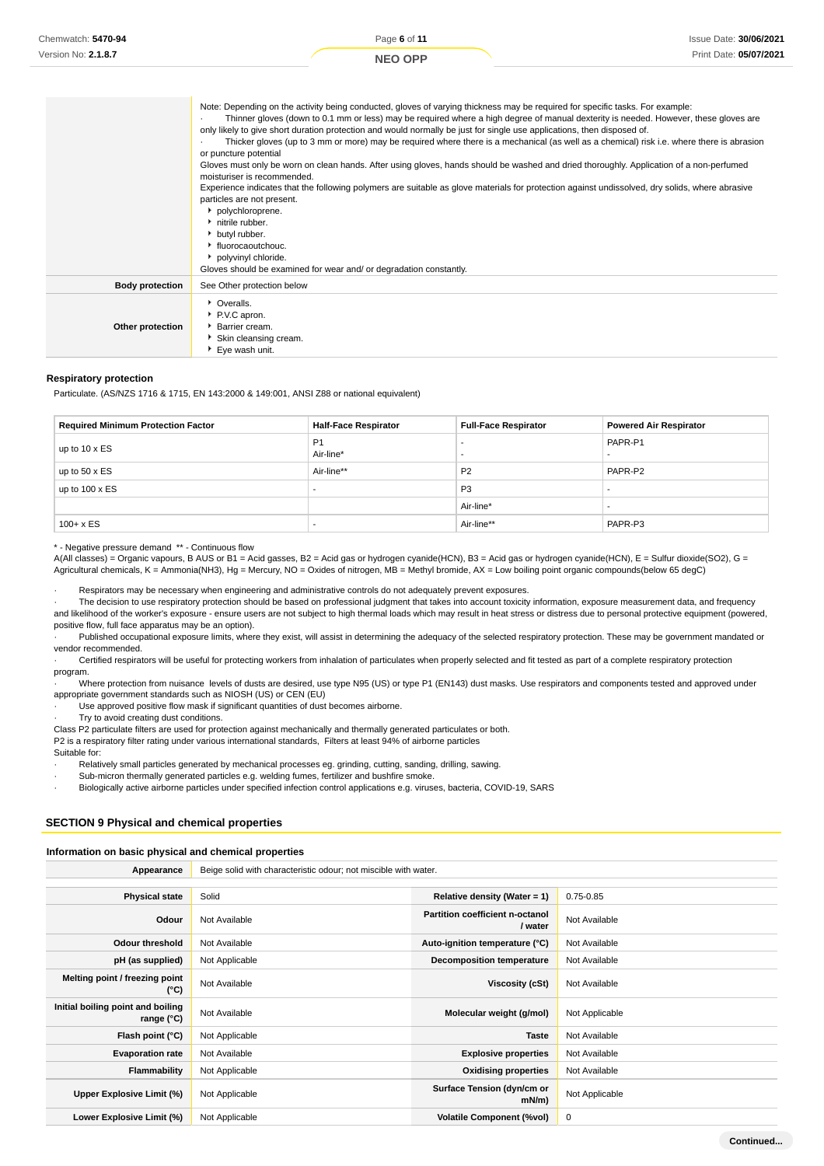| Chemwatch: 5470-94  | Page 6 of 11                                                                                                                                                                                                                                                          | Issue Date: 30/06/2021 |
|---------------------|-----------------------------------------------------------------------------------------------------------------------------------------------------------------------------------------------------------------------------------------------------------------------|------------------------|
| Version No: 2.1.8.7 | <b>NEO OPP</b>                                                                                                                                                                                                                                                        | Print Date: 05/07/2021 |
|                     |                                                                                                                                                                                                                                                                       |                        |
|                     |                                                                                                                                                                                                                                                                       |                        |
|                     | Note: Depending on the activity being conducted, gloves of varying thickness may be required for specific tasks. For example:<br>Thinner gloves (down to 0.1 mm or less) may be required where a high degree of manual dexterity is needed. However, these gloves are |                        |
|                     | only likely to give short duration protection and would normally be just for single use applications, then disposed of.                                                                                                                                               |                        |
|                     | Thicker gloves (up to 3 mm or more) may be required where there is a mechanical (as well as a chemical) risk i.e. where there is abrasion                                                                                                                             |                        |

or puncture potential

Gloves must only be worn on clean hands. After using gloves, hands should be washed and dried thoroughly. Application of a non-perfumed moisturiser is recommended.

Experience indicates that the following polymers are suitable as glove materials for protection against undissolved, dry solids, where abrasive particles are not present.

|                        | polychloroprene.<br>h nitrile rubber.<br>butyl rubber.<br>▶ fluorocaoutchouc.<br>polyvinyl chloride. |
|------------------------|------------------------------------------------------------------------------------------------------|
|                        | Gloves should be examined for wear and/ or degradation constantly.                                   |
| <b>Body protection</b> | See Other protection below                                                                           |
| Other protection       | • Overalls.<br>PV.C apron.<br>Barrier cream.<br>Skin cleansing cream.<br>٠<br>Eye wash unit.         |

#### **Respiratory protection**

Particulate. (AS/NZS 1716 & 1715, EN 143:2000 & 149:001, ANSI Z88 or national equivalent)

| <b>Required Minimum Protection Factor</b> | <b>Half-Face Respirator</b> | <b>Full-Face Respirator</b> | <b>Powered Air Respirator</b> |
|-------------------------------------------|-----------------------------|-----------------------------|-------------------------------|
| up to 10 x ES                             | P <sub>1</sub><br>Air-line* |                             | PAPR-P1                       |
| up to $50 \times ES$                      | Air-line**                  | P <sub>2</sub>              | PAPR-P2                       |
| up to $100 \times ES$                     |                             | P <sub>3</sub>              |                               |
|                                           |                             | Air-line*                   |                               |
| $100 + x ES$                              |                             | Air-line**                  | PAPR-P3                       |

\* - Negative pressure demand \*\* - Continuous flow

A(All classes) = Organic vapours, B AUS or B1 = Acid gasses, B2 = Acid gas or hydrogen cyanide(HCN), B3 = Acid gas or hydrogen cyanide(HCN), E = Sulfur dioxide(SO2), G = Agricultural chemicals, K = Ammonia(NH3), Hg = Mercury, NO = Oxides of nitrogen, MB = Methyl bromide, AX = Low boiling point organic compounds(below 65 degC)

Respirators may be necessary when engineering and administrative controls do not adequately prevent exposures.

· The decision to use respiratory protection should be based on professional judgment that takes into account toxicity information, exposure measurement data, and frequency and likelihood of the worker's exposure - ensure users are not subject to high thermal loads which may result in heat stress or distress due to personal protective equipment (powered, positive flow, full face apparatus may be an option).

Published occupational exposure limits, where they exist, will assist in determining the adequacy of the selected respiratory protection. These may be government mandated or vendor recommended.

· Certified respirators will be useful for protecting workers from inhalation of particulates when properly selected and fit tested as part of a complete respiratory protection program.

· Where protection from nuisance levels of dusts are desired, use type N95 (US) or type P1 (EN143) dust masks. Use respirators and components tested and approved under appropriate government standards such as NIOSH (US) or CEN (EU)

· Use approved positive flow mask if significant quantities of dust becomes airborne.

Try to avoid creating dust conditions.

Class P2 particulate filters are used for protection against mechanically and thermally generated particulates or both.

P2 is a respiratory filter rating under various international standards, Filters at least 94% of airborne particles

Suitable for:

Relatively small particles generated by mechanical processes eg. grinding, cutting, sanding, drilling, sawing.

Sub-micron thermally generated particles e.g. welding fumes, fertilizer and bushfire smoke.

· Biologically active airborne particles under specified infection control applications e.g. viruses, bacteria, COVID-19, SARS

## **SECTION 9 Physical and chemical properties**

#### **Information on basic physical and chemical properties**

**Appearance** Beige solid with characteristic odour; not miscible with water.

| <b>Physical state</b>                           | Solid          | Relative density (Water = $1$ )                   | $0.75 - 0.85$  |
|-------------------------------------------------|----------------|---------------------------------------------------|----------------|
| Odour                                           | Not Available  | <b>Partition coefficient n-octanol</b><br>/ water | Not Available  |
| Odour threshold                                 | Not Available  | Auto-ignition temperature (°C)                    | Not Available  |
| pH (as supplied)                                | Not Applicable | Decomposition temperature                         | Not Available  |
| Melting point / freezing point<br>(°C)          | Not Available  | Viscosity (cSt)                                   | Not Available  |
| Initial boiling point and boiling<br>range (°C) | Not Available  | Molecular weight (g/mol)                          | Not Applicable |
| Flash point (°C)                                | Not Applicable | <b>Taste</b>                                      | Not Available  |
| <b>Evaporation rate</b>                         | Not Available  | <b>Explosive properties</b>                       | Not Available  |
| Flammability                                    | Not Applicable | <b>Oxidising properties</b>                       | Not Available  |
| Upper Explosive Limit (%)                       | Not Applicable | Surface Tension (dyn/cm or<br>$mN/m$ )            | Not Applicable |
| Lower Explosive Limit (%)                       | Not Applicable | <b>Volatile Component (%vol)</b>                  | 0              |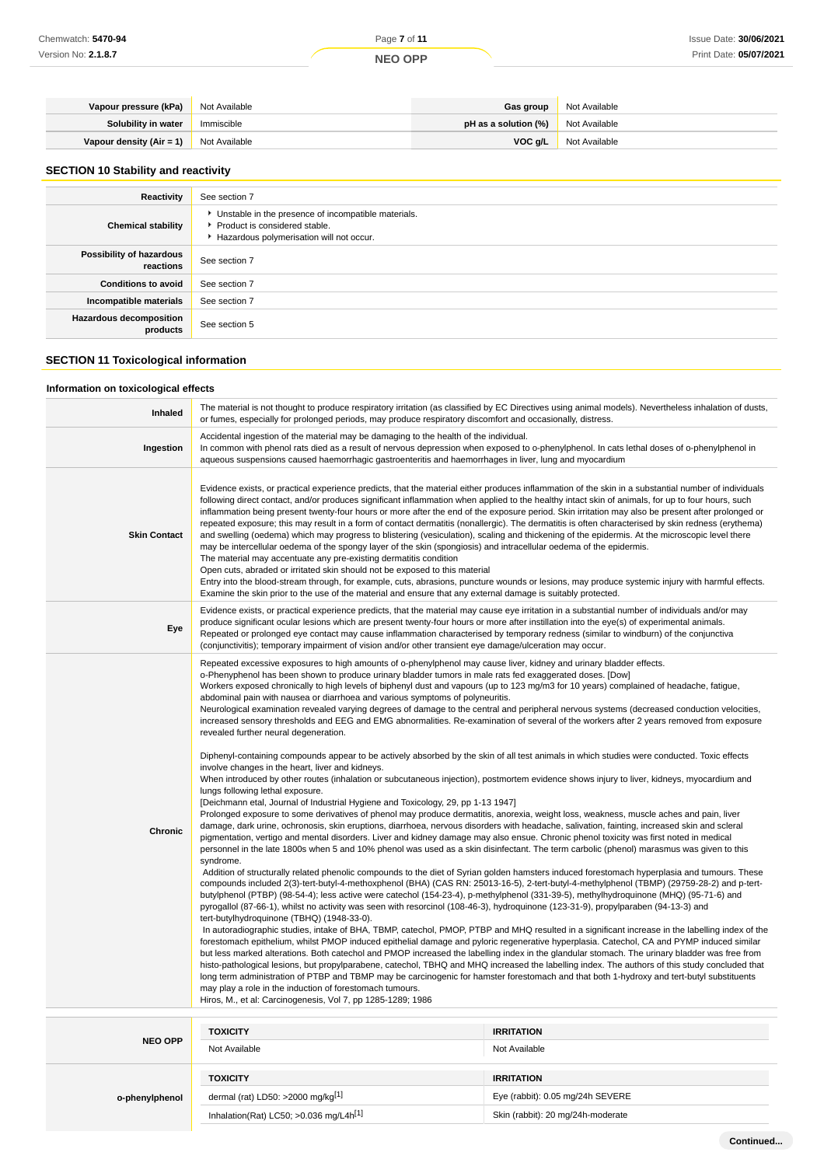| Vapour pressure (kPa)    | Not Available | Gas group                                 | Not Available |
|--------------------------|---------------|-------------------------------------------|---------------|
| Solubility in water      | Immiscible    | <b>pH as a solution (%)</b> Not Available |               |
| Vapour density (Air = 1) | Not Available | VOC g/L                                   | Not Available |

# **SECTION 10 Stability and reactivity**

| Reactivity                                 | See section 7                                                                                                                        |
|--------------------------------------------|--------------------------------------------------------------------------------------------------------------------------------------|
| <b>Chemical stability</b>                  | • Unstable in the presence of incompatible materials.<br>▶ Product is considered stable.<br>Hazardous polymerisation will not occur. |
| Possibility of hazardous<br>reactions      | See section 7                                                                                                                        |
| <b>Conditions to avoid</b>                 | See section 7                                                                                                                        |
| Incompatible materials                     | See section 7                                                                                                                        |
| <b>Hazardous decomposition</b><br>products | See section 5                                                                                                                        |

# **SECTION 11 Toxicological information**

**o-phenylphenol**

## **Information on toxicological effects**

| Inhaled             | The material is not thought to produce respiratory irritation (as classified by EC Directives using animal models). Nevertheless inhalation of dusts,<br>or fumes, especially for prolonged periods, may produce respiratory discomfort and occasionally, distress.                                                                                                                                                                                                                                                                                                                                                                                                                                                                                                                                                                                                                                                                                                                                                                                                                                                                                                                                                                                                                                                                                                                                                                                                                                                                                                                                                                                                                                                                                                                                                                                                                                                                                                                                                                                                                                                                                                                                                                                                                                                                                                                                                                                                                                                                                                                                                                                                                                                                                                                                                                                                                                                                                                                                                                                                                                                                                                                                                                                                                                                                                                        |                   |  |
|---------------------|----------------------------------------------------------------------------------------------------------------------------------------------------------------------------------------------------------------------------------------------------------------------------------------------------------------------------------------------------------------------------------------------------------------------------------------------------------------------------------------------------------------------------------------------------------------------------------------------------------------------------------------------------------------------------------------------------------------------------------------------------------------------------------------------------------------------------------------------------------------------------------------------------------------------------------------------------------------------------------------------------------------------------------------------------------------------------------------------------------------------------------------------------------------------------------------------------------------------------------------------------------------------------------------------------------------------------------------------------------------------------------------------------------------------------------------------------------------------------------------------------------------------------------------------------------------------------------------------------------------------------------------------------------------------------------------------------------------------------------------------------------------------------------------------------------------------------------------------------------------------------------------------------------------------------------------------------------------------------------------------------------------------------------------------------------------------------------------------------------------------------------------------------------------------------------------------------------------------------------------------------------------------------------------------------------------------------------------------------------------------------------------------------------------------------------------------------------------------------------------------------------------------------------------------------------------------------------------------------------------------------------------------------------------------------------------------------------------------------------------------------------------------------------------------------------------------------------------------------------------------------------------------------------------------------------------------------------------------------------------------------------------------------------------------------------------------------------------------------------------------------------------------------------------------------------------------------------------------------------------------------------------------------------------------------------------------------------------------------------------------------|-------------------|--|
| Ingestion           | Accidental ingestion of the material may be damaging to the health of the individual.<br>In common with phenol rats died as a result of nervous depression when exposed to o-phenylphenol. In cats lethal doses of o-phenylphenol in<br>aqueous suspensions caused haemorrhagic gastroenteritis and haemorrhages in liver, lung and myocardium                                                                                                                                                                                                                                                                                                                                                                                                                                                                                                                                                                                                                                                                                                                                                                                                                                                                                                                                                                                                                                                                                                                                                                                                                                                                                                                                                                                                                                                                                                                                                                                                                                                                                                                                                                                                                                                                                                                                                                                                                                                                                                                                                                                                                                                                                                                                                                                                                                                                                                                                                                                                                                                                                                                                                                                                                                                                                                                                                                                                                             |                   |  |
| <b>Skin Contact</b> | Evidence exists, or practical experience predicts, that the material either produces inflammation of the skin in a substantial number of individuals<br>following direct contact, and/or produces significant inflammation when applied to the healthy intact skin of animals, for up to four hours, such<br>inflammation being present twenty-four hours or more after the end of the exposure period. Skin irritation may also be present after prolonged or<br>repeated exposure; this may result in a form of contact dermatitis (nonallergic). The dermatitis is often characterised by skin redness (erythema)<br>and swelling (oedema) which may progress to blistering (vesiculation), scaling and thickening of the epidermis. At the microscopic level there<br>may be intercellular oedema of the spongy layer of the skin (spongiosis) and intracellular oedema of the epidermis.<br>The material may accentuate any pre-existing dermatitis condition<br>Open cuts, abraded or irritated skin should not be exposed to this material<br>Entry into the blood-stream through, for example, cuts, abrasions, puncture wounds or lesions, may produce systemic injury with harmful effects.<br>Examine the skin prior to the use of the material and ensure that any external damage is suitably protected.                                                                                                                                                                                                                                                                                                                                                                                                                                                                                                                                                                                                                                                                                                                                                                                                                                                                                                                                                                                                                                                                                                                                                                                                                                                                                                                                                                                                                                                                                                                                                                                                                                                                                                                                                                                                                                                                                                                                                                                                                                                      |                   |  |
| Eye                 | Evidence exists, or practical experience predicts, that the material may cause eye irritation in a substantial number of individuals and/or may<br>produce significant ocular lesions which are present twenty-four hours or more after instillation into the eye(s) of experimental animals.<br>Repeated or prolonged eye contact may cause inflammation characterised by temporary redness (similar to windburn) of the conjunctiva<br>(conjunctivitis); temporary impairment of vision and/or other transient eye damage/ulceration may occur.                                                                                                                                                                                                                                                                                                                                                                                                                                                                                                                                                                                                                                                                                                                                                                                                                                                                                                                                                                                                                                                                                                                                                                                                                                                                                                                                                                                                                                                                                                                                                                                                                                                                                                                                                                                                                                                                                                                                                                                                                                                                                                                                                                                                                                                                                                                                                                                                                                                                                                                                                                                                                                                                                                                                                                                                                          |                   |  |
| <b>Chronic</b>      | Repeated excessive exposures to high amounts of o-phenylphenol may cause liver, kidney and urinary bladder effects.<br>o-Phenyphenol has been shown to produce urinary bladder tumors in male rats fed exaggerated doses. [Dow]<br>Workers exposed chronically to high levels of biphenyl dust and vapours (up to 123 mg/m3 for 10 years) complained of headache, fatigue,<br>abdominal pain with nausea or diarrhoea and various symptoms of polyneuritis.<br>Neurological examination revealed varying degrees of damage to the central and peripheral nervous systems (decreased conduction velocities,<br>increased sensory thresholds and EEG and EMG abnormalities. Re-examination of several of the workers after 2 years removed from exposure<br>revealed further neural degeneration.<br>Diphenyl-containing compounds appear to be actively absorbed by the skin of all test animals in which studies were conducted. Toxic effects<br>involve changes in the heart, liver and kidneys.<br>When introduced by other routes (inhalation or subcutaneous injection), postmortem evidence shows injury to liver, kidneys, myocardium and<br>lungs following lethal exposure.<br>[Deichmann etal, Journal of Industrial Hygiene and Toxicology, 29, pp 1-13 1947]<br>Prolonged exposure to some derivatives of phenol may produce dermatitis, anorexia, weight loss, weakness, muscle aches and pain, liver<br>damage, dark urine, ochronosis, skin eruptions, diarrhoea, nervous disorders with headache, salivation, fainting, increased skin and scleral<br>pigmentation, vertigo and mental disorders. Liver and kidney damage may also ensue. Chronic phenol toxicity was first noted in medical<br>personnel in the late 1800s when 5 and 10% phenol was used as a skin disinfectant. The term carbolic (phenol) marasmus was given to this<br>syndrome.<br>Addition of structurally related phenolic compounds to the diet of Syrian golden hamsters induced forestomach hyperplasia and tumours. These<br>compounds included 2(3)-tert-butyl-4-methoxphenol (BHA) (CAS RN: 25013-16-5), 2-tert-butyl-4-methylphenol (TBMP) (29759-28-2) and p-tert-<br>butylphenol (PTBP) (98-54-4); less active were catechol (154-23-4), p-methylphenol (331-39-5), methylhydroquinone (MHQ) (95-71-6) and<br>pyrogallol (87-66-1), whilst no activity was seen with resorcinol (108-46-3), hydroquinone (123-31-9), propylparaben (94-13-3) and<br>tert-butylhydroquinone (TBHQ) (1948-33-0).<br>In autoradiographic studies, intake of BHA, TBMP, catechol, PMOP, PTBP and MHQ resulted in a significant increase in the labelling index of the<br>forestomach epithelium, whilst PMOP induced epithelial damage and pyloric regenerative hyperplasia. Catechol, CA and PYMP induced similar<br>but less marked alterations. Both catechol and PMOP increased the labelling index in the glandular stomach. The urinary bladder was free from<br>histo-pathological lesions, but propylparabene, catechol, TBHQ and MHQ increased the labelling index. The authors of this study concluded that<br>long term administration of PTBP and TBMP may be carcinogenic for hamster forestomach and that both 1-hydroxy and tert-butyl substituents<br>may play a role in the induction of forestomach tumours.<br>Hiros, M., et al: Carcinogenesis, Vol 7, pp 1285-1289; 1986 |                   |  |
| <b>NEO OPP</b>      | <b>TOXICITY</b>                                                                                                                                                                                                                                                                                                                                                                                                                                                                                                                                                                                                                                                                                                                                                                                                                                                                                                                                                                                                                                                                                                                                                                                                                                                                                                                                                                                                                                                                                                                                                                                                                                                                                                                                                                                                                                                                                                                                                                                                                                                                                                                                                                                                                                                                                                                                                                                                                                                                                                                                                                                                                                                                                                                                                                                                                                                                                                                                                                                                                                                                                                                                                                                                                                                                                                                                                            | <b>IRRITATION</b> |  |
|                     |                                                                                                                                                                                                                                                                                                                                                                                                                                                                                                                                                                                                                                                                                                                                                                                                                                                                                                                                                                                                                                                                                                                                                                                                                                                                                                                                                                                                                                                                                                                                                                                                                                                                                                                                                                                                                                                                                                                                                                                                                                                                                                                                                                                                                                                                                                                                                                                                                                                                                                                                                                                                                                                                                                                                                                                                                                                                                                                                                                                                                                                                                                                                                                                                                                                                                                                                                                            |                   |  |

Not Available Not Available

**TOXICITY IRRITATION**

dermal (rat) LD50: >2000 mg/kg<sup>[1]</sup> exercise the state of the state of the state of the state of the state of the state of the state of the state of the state of the state of the state of the state of the state of the stat Inhalation(Rat) LC50; >0.036 mg/L4h<sup>[1]</sup> Skin (rabbit): 20 mg/24h-moderate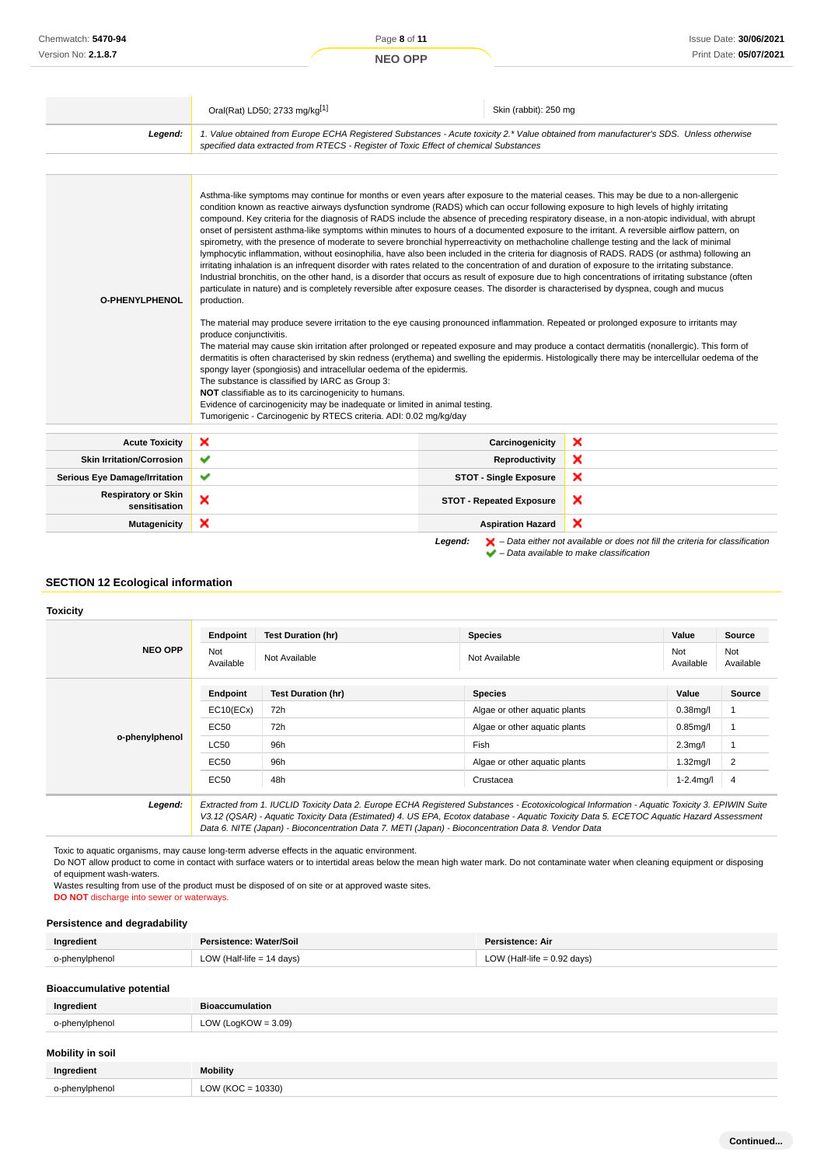|                                             | Oral(Rat) LD50; 2733 mg/kg[1]                                                                                                                                                                                                                                                                                                                                                                                                                                                                                                                                                                                                                                                                                                                                                                                                                                                                                                                                                                                                                                                                                                                                                                                                                                                                                                                                                                                                                                                                                                                                                                                                                                                                                                                                                                                                                                                                                                                                                                                                                                                                                                                                  | Skin (rabbit): 250 mg           |   |
|---------------------------------------------|----------------------------------------------------------------------------------------------------------------------------------------------------------------------------------------------------------------------------------------------------------------------------------------------------------------------------------------------------------------------------------------------------------------------------------------------------------------------------------------------------------------------------------------------------------------------------------------------------------------------------------------------------------------------------------------------------------------------------------------------------------------------------------------------------------------------------------------------------------------------------------------------------------------------------------------------------------------------------------------------------------------------------------------------------------------------------------------------------------------------------------------------------------------------------------------------------------------------------------------------------------------------------------------------------------------------------------------------------------------------------------------------------------------------------------------------------------------------------------------------------------------------------------------------------------------------------------------------------------------------------------------------------------------------------------------------------------------------------------------------------------------------------------------------------------------------------------------------------------------------------------------------------------------------------------------------------------------------------------------------------------------------------------------------------------------------------------------------------------------------------------------------------------------|---------------------------------|---|
| Legend:                                     | 1. Value obtained from Europe ECHA Registered Substances - Acute toxicity 2.* Value obtained from manufacturer's SDS. Unless otherwise<br>specified data extracted from RTECS - Register of Toxic Effect of chemical Substances                                                                                                                                                                                                                                                                                                                                                                                                                                                                                                                                                                                                                                                                                                                                                                                                                                                                                                                                                                                                                                                                                                                                                                                                                                                                                                                                                                                                                                                                                                                                                                                                                                                                                                                                                                                                                                                                                                                                |                                 |   |
|                                             |                                                                                                                                                                                                                                                                                                                                                                                                                                                                                                                                                                                                                                                                                                                                                                                                                                                                                                                                                                                                                                                                                                                                                                                                                                                                                                                                                                                                                                                                                                                                                                                                                                                                                                                                                                                                                                                                                                                                                                                                                                                                                                                                                                |                                 |   |
| O-PHENYLPHENOL                              | Asthma-like symptoms may continue for months or even years after exposure to the material ceases. This may be due to a non-allergenic<br>condition known as reactive airways dysfunction syndrome (RADS) which can occur following exposure to high levels of highly irritating<br>compound. Key criteria for the diagnosis of RADS include the absence of preceding respiratory disease, in a non-atopic individual, with abrupt<br>onset of persistent asthma-like symptoms within minutes to hours of a documented exposure to the irritant. A reversible airflow pattern, on<br>spirometry, with the presence of moderate to severe bronchial hyperreactivity on methacholine challenge testing and the lack of minimal<br>lymphocytic inflammation, without eosinophilia, have also been included in the criteria for diagnosis of RADS. RADS (or asthma) following an<br>irritating inhalation is an infrequent disorder with rates related to the concentration of and duration of exposure to the irritating substance.<br>Industrial bronchitis, on the other hand, is a disorder that occurs as result of exposure due to high concentrations of irritating substance (often<br>particulate in nature) and is completely reversible after exposure ceases. The disorder is characterised by dyspnea, cough and mucus<br>production.<br>The material may produce severe irritation to the eye causing pronounced inflammation. Repeated or prolonged exposure to irritants may<br>produce conjunctivitis.<br>The material may cause skin irritation after prolonged or repeated exposure and may produce a contact dermatitis (nonallergic). This form of<br>dermatitis is often characterised by skin redness (erythema) and swelling the epidermis. Histologically there may be intercellular oedema of the<br>spongy layer (spongiosis) and intracellular oedema of the epidermis.<br>The substance is classified by IARC as Group 3:<br>NOT classifiable as to its carcinogenicity to humans.<br>Evidence of carcinogenicity may be inadequate or limited in animal testing.<br>Tumorigenic - Carcinogenic by RTECS criteria. ADI: 0.02 mg/kg/day |                                 |   |
| <b>Acute Toxicity</b>                       | ×                                                                                                                                                                                                                                                                                                                                                                                                                                                                                                                                                                                                                                                                                                                                                                                                                                                                                                                                                                                                                                                                                                                                                                                                                                                                                                                                                                                                                                                                                                                                                                                                                                                                                                                                                                                                                                                                                                                                                                                                                                                                                                                                                              | Carcinogenicity                 | × |
| <b>Skin Irritation/Corrosion</b>            | ✔                                                                                                                                                                                                                                                                                                                                                                                                                                                                                                                                                                                                                                                                                                                                                                                                                                                                                                                                                                                                                                                                                                                                                                                                                                                                                                                                                                                                                                                                                                                                                                                                                                                                                                                                                                                                                                                                                                                                                                                                                                                                                                                                                              | Reproductivity                  | × |
| <b>Serious Eye Damage/Irritation</b>        | ✔                                                                                                                                                                                                                                                                                                                                                                                                                                                                                                                                                                                                                                                                                                                                                                                                                                                                                                                                                                                                                                                                                                                                                                                                                                                                                                                                                                                                                                                                                                                                                                                                                                                                                                                                                                                                                                                                                                                                                                                                                                                                                                                                                              | <b>STOT - Single Exposure</b>   | × |
| <b>Respiratory or Skin</b><br>sensitisation | ×                                                                                                                                                                                                                                                                                                                                                                                                                                                                                                                                                                                                                                                                                                                                                                                                                                                                                                                                                                                                                                                                                                                                                                                                                                                                                                                                                                                                                                                                                                                                                                                                                                                                                                                                                                                                                                                                                                                                                                                                                                                                                                                                                              | <b>STOT - Repeated Exposure</b> | × |
| <b>Mutagenicity</b>                         | ×                                                                                                                                                                                                                                                                                                                                                                                                                                                                                                                                                                                                                                                                                                                                                                                                                                                                                                                                                                                                                                                                                                                                                                                                                                                                                                                                                                                                                                                                                                                                                                                                                                                                                                                                                                                                                                                                                                                                                                                                                                                                                                                                                              | <b>Aspiration Hazard</b>        | × |

**Legend:**  $\mathbf{X}$  – Data either not available or does not fill the criteria for classification

– Data available to make classification

# **SECTION 12 Ecological information**

#### **Toxicity**

|                | Endpoint         | <b>Test Duration (hr)</b>                                                                                                                                                                                                                                                                | <b>Species</b>                | Value                | Source           |
|----------------|------------------|------------------------------------------------------------------------------------------------------------------------------------------------------------------------------------------------------------------------------------------------------------------------------------------|-------------------------------|----------------------|------------------|
| <b>NEO OPP</b> | Not<br>Available | Not Available                                                                                                                                                                                                                                                                            | Not Available                 | Not<br>Available     | Not<br>Available |
|                | Endpoint         | <b>Test Duration (hr)</b>                                                                                                                                                                                                                                                                | <b>Species</b>                | Value                | <b>Source</b>    |
|                | EC10(ECx)        | 72h                                                                                                                                                                                                                                                                                      | Algae or other aguatic plants | $0.38$ mg/l          |                  |
| o-phenylphenol | EC50             | 72h                                                                                                                                                                                                                                                                                      | Algae or other aquatic plants | $0.85$ mg/l          |                  |
|                | LC50             | 96h                                                                                                                                                                                                                                                                                      | Fish                          | 2.3 <sub>mq</sub> /l |                  |
|                | EC50             | 96h                                                                                                                                                                                                                                                                                      | Algae or other aquatic plants | $1.32$ mg/l          | $\overline{2}$   |
|                | EC50             | 48h                                                                                                                                                                                                                                                                                      | Crustacea                     | $1 - 2.4$ mg/l       | $\overline{4}$   |
| Legend:        |                  | Extracted from 1. IUCLID Toxicity Data 2. Europe ECHA Registered Substances - Ecotoxicological Information - Aquatic Toxicity 3. EPIWIN Suite<br>V3.12 (QSAR) - Aquatic Toxicity Data (Estimated) 4. US EPA, Ecotox database - Aquatic Toxicity Data 5. ECETOC Aquatic Hazard Assessment |                               |                      |                  |

Toxic to aquatic organisms, may cause long-term adverse effects in the aquatic environment.

Do NOT allow product to come in contact with surface waters or to intertidal areas below the mean high water mark. Do not contaminate water when cleaning equipment or disposing of equipment wash-waters.

Data 6. NITE (Japan) - Bioconcentration Data 7. METI (Japan) - Bioconcentration Data 8. Vendor Data

Wastes resulting from use of the product must be disposed of on site or at approved waste sites. **DO NOT** discharge into sewer or waterways.

# **Persistence and degradability**

| Ingredient     | Persistence: Water/Soil     | Persistence: Air            |
|----------------|-----------------------------|-----------------------------|
| o-phenylphenol | LOW (Half-life $= 14$ days) | LOW (Half-life = 0.92 days) |

#### **Bioaccumulative potential**

| Ingredient              | <b>Bioaccumulation</b> |  |
|-------------------------|------------------------|--|
| o-phenylphenol          | LOW (LogKOW = $3.09$ ) |  |
| <b>Mobility in soil</b> |                        |  |
| Ingredient              | <b>Mobility</b>        |  |
| o-phenylphenol          | LOW ( $KOC = 10330$ )  |  |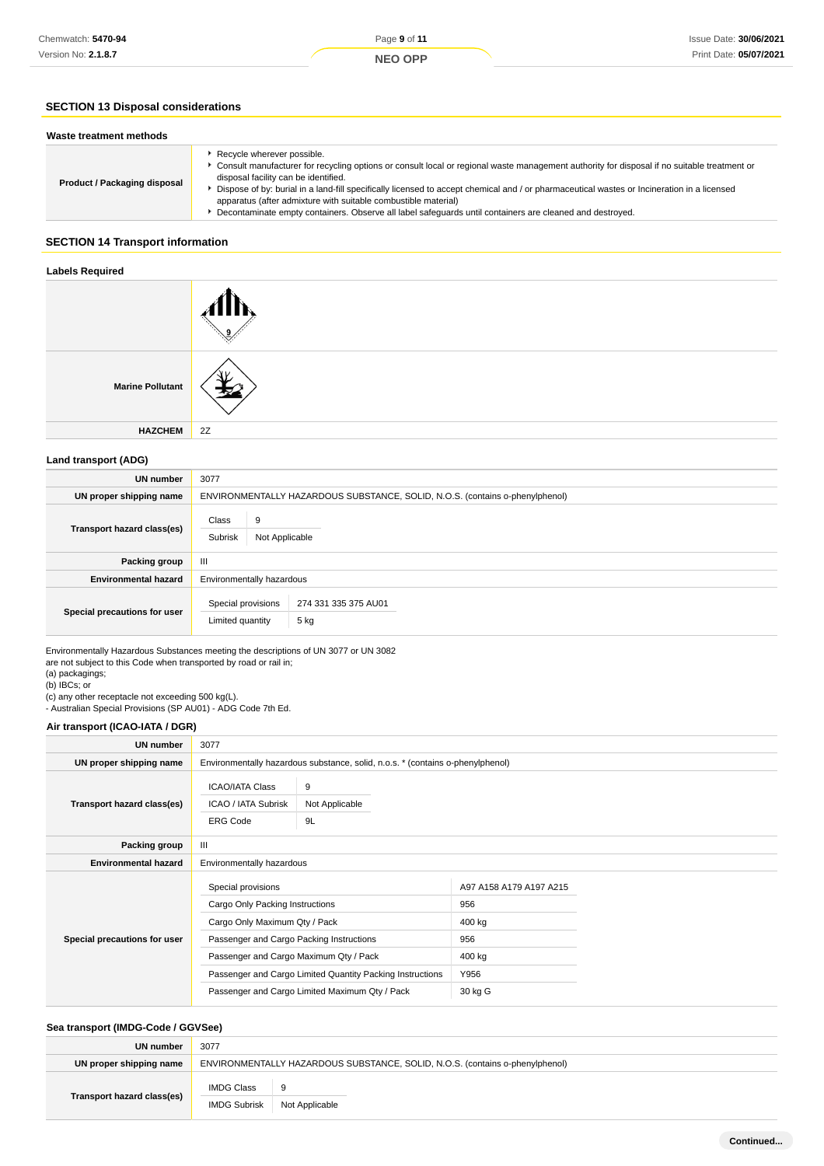# **SECTION 13 Disposal considerations**

| Waste treatment methods      |                                                                                                                                                                                                                                                                                                                                                                                                                                                                                                                                               |
|------------------------------|-----------------------------------------------------------------------------------------------------------------------------------------------------------------------------------------------------------------------------------------------------------------------------------------------------------------------------------------------------------------------------------------------------------------------------------------------------------------------------------------------------------------------------------------------|
| Product / Packaging disposal | Recycle wherever possible.<br>Consult manufacturer for recycling options or consult local or regional waste management authority for disposal if no suitable treatment or<br>disposal facility can be identified.<br>Dispose of by: burial in a land-fill specifically licensed to accept chemical and / or pharmaceutical wastes or Incineration in a licensed<br>apparatus (after admixture with suitable combustible material)<br>Decontaminate empty containers. Observe all label safeguards until containers are cleaned and destroyed. |

# **SECTION 14 Transport information**

#### **Labels Required**

| <b>Marine Pollutant</b> |    |
|-------------------------|----|
| <b>HAZCHEM</b>          | 2Z |

# **Land transport (ADG)**

| <b>UN</b> number             | 3077                                                                         |  |
|------------------------------|------------------------------------------------------------------------------|--|
| UN proper shipping name      | ENVIRONMENTALLY HAZARDOUS SUBSTANCE, SOLID, N.O.S. (contains o-phenylphenol) |  |
| Transport hazard class(es)   | Class<br>9<br>Subrisk<br>Not Applicable                                      |  |
| Packing group                | Ш                                                                            |  |
| <b>Environmental hazard</b>  | Environmentally hazardous                                                    |  |
| Special precautions for user | Special provisions<br>274 331 335 375 AU01<br>5 kg<br>Limited quantity       |  |

Environmentally Hazardous Substances meeting the descriptions of UN 3077 or UN 3082 are not subject to this Code when transported by road or rail in;

(a) packagings;

(b) IBCs; or

(c) any other receptacle not exceeding 500 kg(L).

- Australian Special Provisions (SP AU01) - ADG Code 7th Ed.

## **Air transport (ICAO-IATA / DGR)**

| UN number                    | 3077                                                                                          |                                                                                |                         |  |
|------------------------------|-----------------------------------------------------------------------------------------------|--------------------------------------------------------------------------------|-------------------------|--|
| UN proper shipping name      |                                                                                               | Environmentally hazardous substance, solid, n.o.s. * (contains o-phenylphenol) |                         |  |
| Transport hazard class(es)   | <b>ICAO/IATA Class</b><br>9<br>ICAO / IATA Subrisk<br>Not Applicable<br><b>ERG Code</b><br>9L |                                                                                |                         |  |
| Packing group                | Ш                                                                                             |                                                                                |                         |  |
| <b>Environmental hazard</b>  | Environmentally hazardous                                                                     |                                                                                |                         |  |
| Special precautions for user | Special provisions                                                                            |                                                                                | A97 A158 A179 A197 A215 |  |
|                              | Cargo Only Packing Instructions                                                               |                                                                                | 956                     |  |
|                              | Cargo Only Maximum Qty / Pack                                                                 |                                                                                | 400 kg                  |  |
|                              | Passenger and Cargo Packing Instructions                                                      |                                                                                | 956                     |  |
|                              | Passenger and Cargo Maximum Qty / Pack                                                        |                                                                                | 400 kg                  |  |
|                              | Passenger and Cargo Limited Quantity Packing Instructions                                     |                                                                                | Y956                    |  |
|                              | Passenger and Cargo Limited Maximum Qty / Pack                                                |                                                                                | 30 kg G                 |  |

# **Sea transport (IMDG-Code / GGVSee)**

| UN number                  | 3077                                                                         |                |  |
|----------------------------|------------------------------------------------------------------------------|----------------|--|
| UN proper shipping name    | ENVIRONMENTALLY HAZARDOUS SUBSTANCE, SOLID, N.O.S. (contains o-phenylphenol) |                |  |
| Transport hazard class(es) | <b>IMDG Class</b>                                                            | -9             |  |
|                            | <b>IMDG Subrisk</b>                                                          | Not Applicable |  |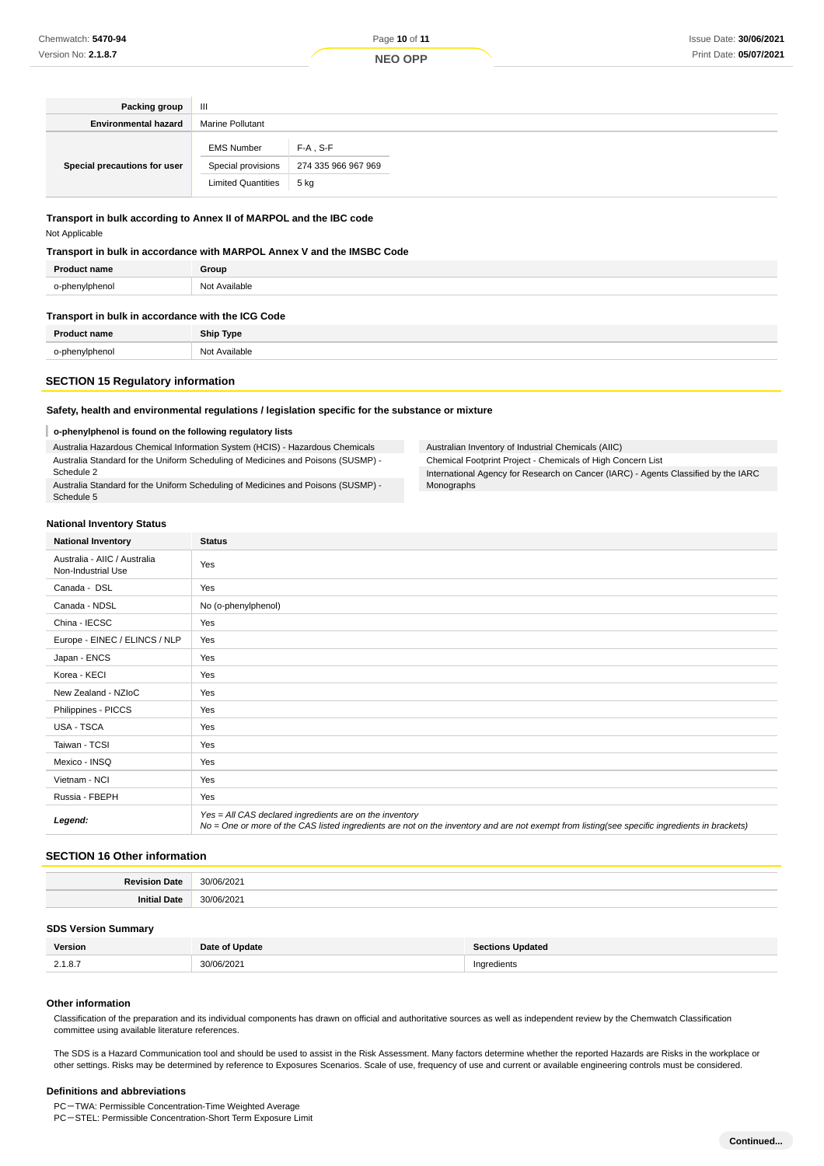Pack **Environme** 

**Special precautions for user**

| king group  | $\mathbf{III}$          |         |  |  |  |
|-------------|-------------------------|---------|--|--|--|
| ntal hazard | <b>Marine Pollutant</b> |         |  |  |  |
|             | <b>EMS Number</b>       | F-A S-F |  |  |  |

# **Transport in bulk according to Annex II of MARPOL and the IBC code**

Not Applicable

#### **Transport in bulk in accordance with MARPOL Annex V and the IMSBC Code**

| <b>Product name</b>                 | Group         |
|-------------------------------------|---------------|
| o-phenylphenol                      | Not Available |
| the contract of the contract of the |               |

#### **Transport in bulk in accordance with the ICG Code**

|               | $\cdots$ |
|---------------|----------|
| $\sim$ $\sim$ |          |

## **SECTION 15 Regulatory information**

#### **Safety, health and environmental regulations / legislation specific for the substance or mixture**

Special provisions 274 335 966 967 969

Limited Quantities 5 kg

## **o-phenylphenol is found on the following regulatory lists**

Australia Hazardous Chemical Information System (HCIS) - Hazardous Chemicals Australia Standard for the Uniform Scheduling of Medicines and Poisons (SUSMP) - Schedule 2 Australia Standard for the Uniform Scheduling of Medicines and Poisons (SUSMP) -

Schedule 5

## Australian Inventory of Industrial Chemicals (AIIC) Chemical Footprint Project - Chemicals of High Concern List International Agency for Research on Cancer (IARC) - Agents Classified by the IARC Monographs

## **National Inventory Status**

| <b>National Inventory</b>                          | <b>Status</b>                                                                                                                                                                                            |
|----------------------------------------------------|----------------------------------------------------------------------------------------------------------------------------------------------------------------------------------------------------------|
| Australia - AIIC / Australia<br>Non-Industrial Use | Yes                                                                                                                                                                                                      |
| Canada - DSL                                       | Yes                                                                                                                                                                                                      |
| Canada - NDSL                                      | No (o-phenylphenol)                                                                                                                                                                                      |
| China - IECSC                                      | Yes                                                                                                                                                                                                      |
| Europe - EINEC / ELINCS / NLP                      | Yes                                                                                                                                                                                                      |
| Japan - ENCS                                       | Yes                                                                                                                                                                                                      |
| Korea - KECI                                       | Yes                                                                                                                                                                                                      |
| New Zealand - NZIoC                                | Yes                                                                                                                                                                                                      |
| Philippines - PICCS                                | Yes                                                                                                                                                                                                      |
| USA - TSCA                                         | Yes                                                                                                                                                                                                      |
| Taiwan - TCSI                                      | Yes                                                                                                                                                                                                      |
| Mexico - INSQ                                      | Yes                                                                                                                                                                                                      |
| Vietnam - NCI                                      | Yes                                                                                                                                                                                                      |
| Russia - FBEPH                                     | Yes                                                                                                                                                                                                      |
| Legend:                                            | Yes = All CAS declared ingredients are on the inventory<br>No = One or more of the CAS listed ingredients are not on the inventory and are not exempt from listing(see specific ingredients in brackets) |

## **SECTION 16 Other information**

| в.<br><b>NOTE</b> | ว∩ |
|-------------------|----|
| אפו               | חפ |
| ,,,,,,            | ~~ |

#### **SDS Version Summary**

| Version | Date of Update | Sections Updated |
|---------|----------------|------------------|
| 2.1.8.7 | 20/06/2021     | Ingredients      |

#### **Other information**

Classification of the preparation and its individual components has drawn on official and authoritative sources as well as independent review by the Chemwatch Classification committee using available literature references.

The SDS is a Hazard Communication tool and should be used to assist in the Risk Assessment. Many factors determine whether the reported Hazards are Risks in the workplace or other settings. Risks may be determined by reference to Exposures Scenarios. Scale of use, frequency of use and current or available engineering controls must be considered.

#### **Definitions and abbreviations**

PC-TWA: Permissible Concentration-Time Weighted Average

PC-STEL: Permissible Concentration-Short Term Exposure Limit